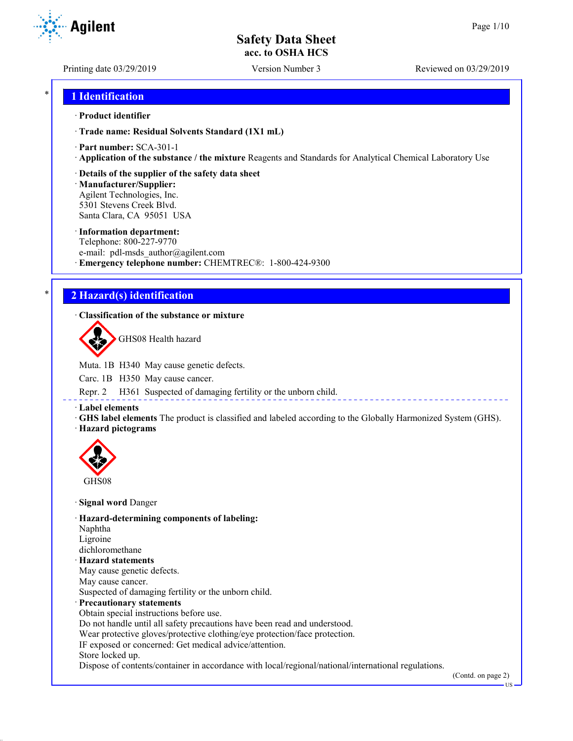**Agilent** 

Printing date 03/29/2019 Version Number 3 Reviewed on 03/29/2019

## \* **1 Identification**

#### · **Product identifier**

· **Trade name: Residual Solvents Standard (1X1 mL)**

- · **Part number:** SCA-301-1
- · **Application of the substance / the mixture** Reagents and Standards for Analytical Chemical Laboratory Use

## · **Details of the supplier of the safety data sheet**

· **Manufacturer/Supplier:** Agilent Technologies, Inc. 5301 Stevens Creek Blvd. Santa Clara, CA 95051 USA

#### · **Information department:**

Telephone: 800-227-9770 e-mail: pdl-msds author@agilent.com · **Emergency telephone number:** CHEMTREC®: 1-800-424-9300

# \* **2 Hazard(s) identification**

## · **Classification of the substance or mixture**

GHS08 Health hazard

Muta. 1B H340 May cause genetic defects.

Carc. 1B H350 May cause cancer.

Repr. 2 H361 Suspected of damaging fertility or the unborn child.

· **Label elements**

· **GHS label elements** The product is classified and labeled according to the Globally Harmonized System (GHS).

## · **Hazard pictograms**



· **Signal word** Danger

· **Hazard-determining components of labeling:**

Naphtha Ligroine

dichloromethane

- · **Hazard statements**
- May cause genetic defects.
- May cause cancer.

Suspected of damaging fertility or the unborn child.

- · **Precautionary statements**
- Obtain special instructions before use.
- Do not handle until all safety precautions have been read and understood.
- Wear protective gloves/protective clothing/eye protection/face protection.
- IF exposed or concerned: Get medical advice/attention.
- Store locked up.

Dispose of contents/container in accordance with local/regional/national/international regulations.

(Contd. on page 2)

US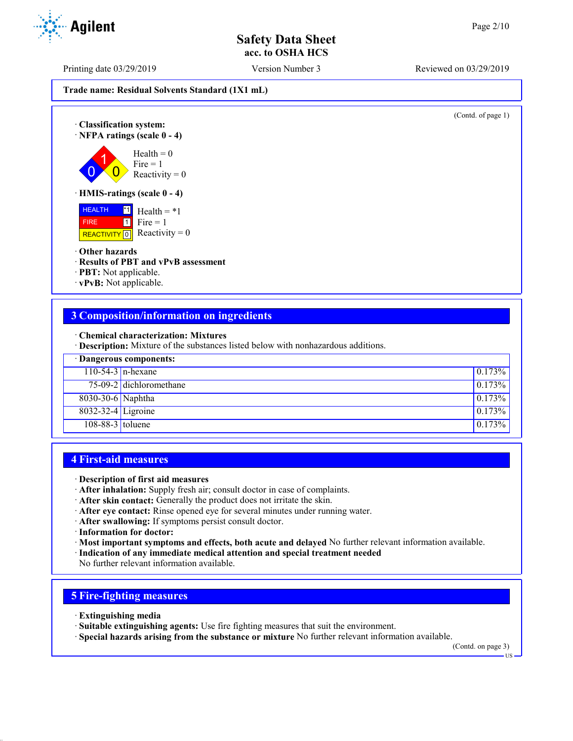Printing date 03/29/2019 Version Number 3 Reviewed on 03/29/2019

**Trade name: Residual Solvents Standard (1X1 mL)**

(Contd. of page 1) · **Classification system:** · **NFPA ratings (scale 0 - 4)**  $\overline{0}$ 1  $\overline{0}$  $Health = 0$  $Fire = 1$ Reactivity  $= 0$ · **HMIS-ratings (scale 0 - 4)** HEALTH FIRE REACTIVITY  $\boxed{0}$  Reactivity = 0  $\overline{1}$  Health = \*1  $\boxed{1}$  $Fire = 1$ · **Other hazards** · **Results of PBT and vPvB assessment** · **PBT:** Not applicable.

· **vPvB:** Not applicable.

## **3 Composition/information on ingredients**

· **Chemical characterization: Mixtures**

· **Description:** Mixture of the substances listed below with nonhazardous additions.

| · Dangerous components: |                         |                  |
|-------------------------|-------------------------|------------------|
| $110-54-3$ n-hexane     |                         | 0.173%           |
|                         | 75-09-2 dichloromethane | $\sqrt{0.173\%}$ |
| 8030-30-6 Naphtha       |                         | 0.173%           |
| 8032-32-4 Ligroine      |                         | 0.173%           |
| $108-88-3$ toluene      |                         | 0.173%           |

## **4 First-aid measures**

- · **Description of first aid measures**
- · **After inhalation:** Supply fresh air; consult doctor in case of complaints.
- · **After skin contact:** Generally the product does not irritate the skin.
- · **After eye contact:** Rinse opened eye for several minutes under running water.
- · **After swallowing:** If symptoms persist consult doctor.
- · **Information for doctor:**
- · **Most important symptoms and effects, both acute and delayed** No further relevant information available.
- · **Indication of any immediate medical attention and special treatment needed**
- No further relevant information available.

# **5 Fire-fighting measures**

- · **Extinguishing media**
- · **Suitable extinguishing agents:** Use fire fighting measures that suit the environment.
- · **Special hazards arising from the substance or mixture** No further relevant information available.

(Contd. on page 3)

US

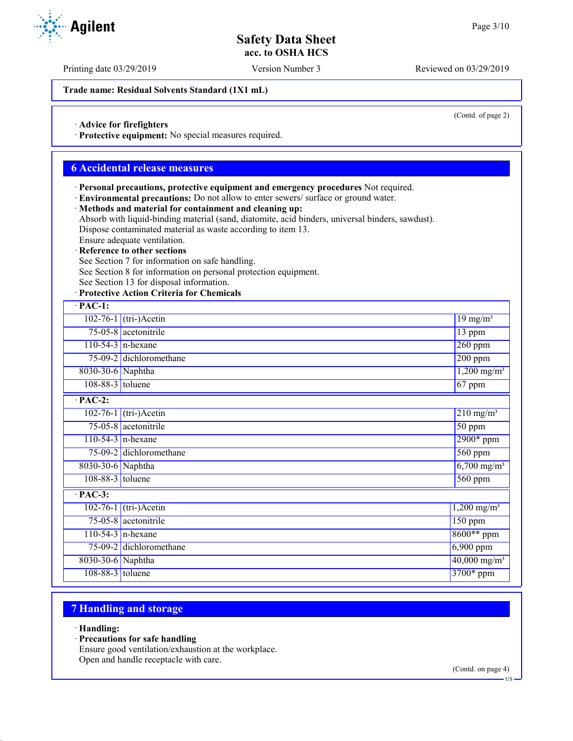Printing date 03/29/2019 Version Number 3 Reviewed on 03/29/2019

**Trade name: Residual Solvents Standard (1X1 mL)**

(Contd. of page 2)

· **Advice for firefighters**

· **Protective equipment:** No special measures required.

## **6 Accidental release measures**

- · **Personal precautions, protective equipment and emergency procedures** Not required.
- · **Environmental precautions:** Do not allow to enter sewers/ surface or ground water.
- · **Methods and material for containment and cleaning up:**

Absorb with liquid-binding material (sand, diatomite, acid binders, universal binders, sawdust). Dispose contaminated material as waste according to item 13.

Ensure adequate ventilation.

· **Reference to other sections**

See Section 7 for information on safe handling.

See Section 8 for information on personal protection equipment.

See Section 13 for disposal information.

· **Protective Action Criteria for Chemicals**

| $\cdot$ PAC-1:     |                                                   |                            |  |
|--------------------|---------------------------------------------------|----------------------------|--|
|                    | $102-76-1$ (tri-)Acetin<br>$19$ mg/m <sup>3</sup> |                            |  |
|                    | 75-05-8 acetonitrile<br>$13$ ppm                  |                            |  |
|                    | $110-54-3$ n-hexane                               | $260$ ppm                  |  |
|                    | 75-09-2 dichloromethane                           | $200$ ppm                  |  |
| 8030-30-6 Naphtha  |                                                   | $1,200 \text{ mg/m}^3$     |  |
| 108-88-3 toluene   |                                                   | 67 ppm                     |  |
| $·$ PAC-2:         |                                                   |                            |  |
|                    | $102-76-1$ (tri-)Acetin                           | $210$ mg/m <sup>3</sup>    |  |
|                    | 75-05-8 acetonitrile                              | $\overline{50}$ ppm        |  |
|                    | $110-54-3$ n-hexane                               | $2900*$ ppm                |  |
|                    | 75-09-2 dichloromethane                           | 560 ppm                    |  |
| 8030-30-6 Naphtha  |                                                   | $6,700$ mg/m <sup>3</sup>  |  |
| 108-88-3 toluene   |                                                   | $560$ ppm                  |  |
| $·$ PAC-3:         |                                                   |                            |  |
|                    | $102-76-1$ (tri-)Acetin                           | $1,200 \text{ mg/m}^3$     |  |
|                    | 75-05-8 acetonitrile                              | $\overline{150}$ ppm       |  |
|                    | $110-54-3$ n-hexane                               | 8600** ppm                 |  |
|                    | 75-09-2 dichloromethane                           | $6,900$ ppm                |  |
| 8030-30-6 Naphtha  |                                                   | $40,000$ mg/m <sup>3</sup> |  |
| $108-88-3$ toluene |                                                   | 3700* ppm                  |  |

## **7 Handling and storage**

- · **Handling:**
- · **Precautions for safe handling**

Ensure good ventilation/exhaustion at the workplace. Open and handle receptacle with care.

(Contd. on page 4)

US

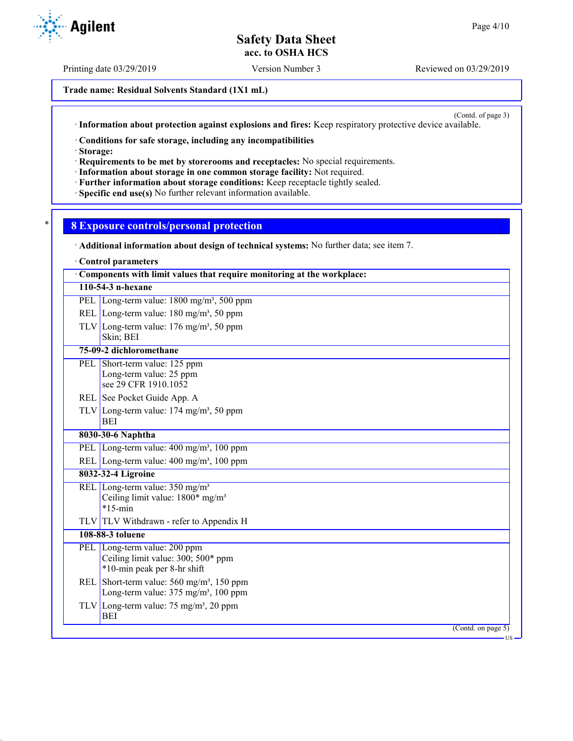Printing date 03/29/2019 Version Number 3 Reviewed on 03/29/2019

**Trade name: Residual Solvents Standard (1X1 mL)**

(Contd. of page 3)

· **Information about protection against explosions and fires:** Keep respiratory protective device available.

· **Conditions for safe storage, including any incompatibilities**

· **Storage:**

· **Requirements to be met by storerooms and receptacles:** No special requirements.

- · **Information about storage in one common storage facility:** Not required.
- · **Further information about storage conditions:** Keep receptacle tightly sealed.

· **Specific end use(s)** No further relevant information available.

## \* **8 Exposure controls/personal protection**

| $\therefore$ Agilent |
|----------------------|
|----------------------|

| Additional information about design of technical systems: No further data; see item 7.                   |
|----------------------------------------------------------------------------------------------------------|
| Control parameters                                                                                       |
| Components with limit values that require monitoring at the workplace:                                   |
| 110-54-3 n-hexane                                                                                        |
| PEL Long-term value: 1800 mg/m <sup>3</sup> , 500 ppm                                                    |
| REL Long-term value: $180 \text{ mg/m}^3$ , 50 ppm                                                       |
| TLV Long-term value: $176 \text{ mg/m}^3$ , 50 ppm<br>Skin; BEI                                          |
| 75-09-2 dichloromethane                                                                                  |
| PEL Short-term value: 125 ppm<br>Long-term value: 25 ppm<br>see 29 CFR 1910.1052                         |
| REL See Pocket Guide App. A                                                                              |
| TLV Long-term value: $174 \text{ mg/m}^3$ , 50 ppm<br>BEI                                                |
| 8030-30-6 Naphtha                                                                                        |
| PEL Long-term value: 400 mg/m <sup>3</sup> , 100 ppm                                                     |
| REL Long-term value: $400 \text{ mg/m}^3$ , $100 \text{ ppm}$                                            |
| 8032-32-4 Ligroine                                                                                       |
| REL Long-term value: 350 mg/m <sup>3</sup><br>Ceiling limit value: 1800* mg/m <sup>3</sup><br>$*15$ -min |
| TLV TLV Withdrawn - refer to Appendix H                                                                  |
| 108-88-3 toluene                                                                                         |
| PEL Long-term value: 200 ppm<br>Ceiling limit value: 300; 500* ppm<br>*10-min peak per 8-hr shift        |
| REL Short-term value: $560 \text{ mg/m}^3$ , 150 ppm<br>Long-term value: 375 mg/m <sup>3</sup> , 100 ppm |
| TLV Long-term value: $75 \text{ mg/m}^3$ , 20 ppm<br><b>BEI</b>                                          |
| (Contd. on page 5)<br>US-                                                                                |
|                                                                                                          |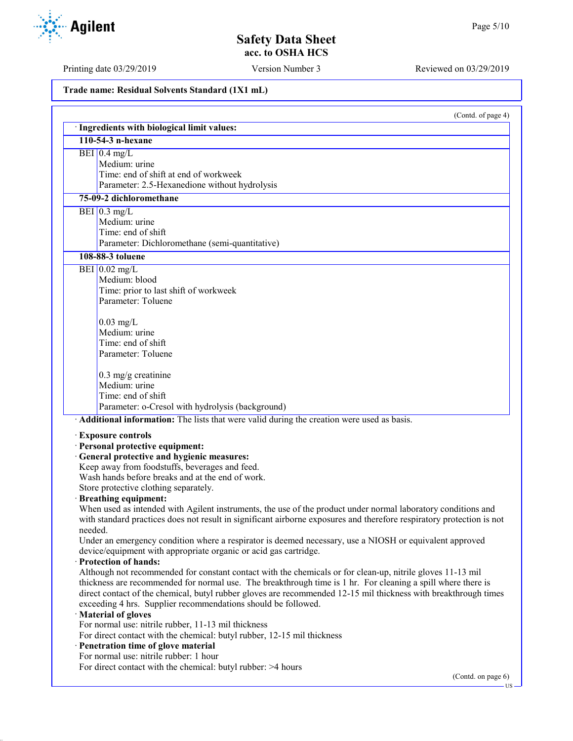Printing date 03/29/2019 Version Number 3 Reviewed on 03/29/2019

**Trade name: Residual Solvents Standard (1X1 mL)**

|         | (Contd. of page 4)                                                                                                                                                                                                                     |
|---------|----------------------------------------------------------------------------------------------------------------------------------------------------------------------------------------------------------------------------------------|
|         | · Ingredients with biological limit values:                                                                                                                                                                                            |
|         | 110-54-3 n-hexane                                                                                                                                                                                                                      |
|         | BEI $0.4$ mg/L                                                                                                                                                                                                                         |
|         | Medium: urine                                                                                                                                                                                                                          |
|         | Time: end of shift at end of workweek                                                                                                                                                                                                  |
|         | Parameter: 2.5-Hexanedione without hydrolysis                                                                                                                                                                                          |
|         | 75-09-2 dichloromethane                                                                                                                                                                                                                |
|         | BEI $0.3$ mg/L                                                                                                                                                                                                                         |
|         | Medium: urine                                                                                                                                                                                                                          |
|         | Time: end of shift                                                                                                                                                                                                                     |
|         | Parameter: Dichloromethane (semi-quantitative)                                                                                                                                                                                         |
|         | 108-88-3 toluene                                                                                                                                                                                                                       |
|         | BEI $0.02$ mg/L                                                                                                                                                                                                                        |
|         | Medium: blood                                                                                                                                                                                                                          |
|         | Time: prior to last shift of workweek                                                                                                                                                                                                  |
|         | Parameter: Toluene                                                                                                                                                                                                                     |
|         |                                                                                                                                                                                                                                        |
|         | $0.03$ mg/L                                                                                                                                                                                                                            |
|         | Medium: urine                                                                                                                                                                                                                          |
|         | Time: end of shift                                                                                                                                                                                                                     |
|         | Parameter: Toluene                                                                                                                                                                                                                     |
|         | $0.3$ mg/g creatinine                                                                                                                                                                                                                  |
|         | Medium: urine                                                                                                                                                                                                                          |
|         | Time: end of shift                                                                                                                                                                                                                     |
|         | Parameter: o-Cresol with hydrolysis (background)                                                                                                                                                                                       |
|         | · Additional information: The lists that were valid during the creation were used as basis.                                                                                                                                            |
|         |                                                                                                                                                                                                                                        |
|         | <b>Exposure controls</b>                                                                                                                                                                                                               |
|         | · Personal protective equipment:                                                                                                                                                                                                       |
|         | · General protective and hygienic measures:                                                                                                                                                                                            |
|         | Keep away from foodstuffs, beverages and feed.                                                                                                                                                                                         |
|         | Wash hands before breaks and at the end of work.                                                                                                                                                                                       |
|         | Store protective clothing separately.                                                                                                                                                                                                  |
|         | <b>Breathing equipment:</b>                                                                                                                                                                                                            |
|         | When used as intended with Agilent instruments, the use of the product under normal laboratory conditions and<br>with standard practices does not result in significant airborne exposures and therefore respiratory protection is not |
|         |                                                                                                                                                                                                                                        |
| needed. | Under an emergency condition where a respirator is deemed necessary, use a NIOSH or equivalent approved                                                                                                                                |
|         | device/equipment with appropriate organic or acid gas cartridge.                                                                                                                                                                       |
|         | · Protection of hands:                                                                                                                                                                                                                 |
|         | Although not recommended for constant contact with the chemicals or for clean-up, nitrile gloves 11-13 mil                                                                                                                             |
|         | thickness are recommended for normal use. The breakthrough time is 1 hr. For cleaning a spill where there is                                                                                                                           |
|         | direct contact of the chemical, butyl rubber gloves are recommended 12-15 mil thickness with breakthrough times                                                                                                                        |
|         | exceeding 4 hrs. Supplier recommendations should be followed.                                                                                                                                                                          |
|         | · Material of gloves                                                                                                                                                                                                                   |
|         | For normal use: nitrile rubber, 11-13 mil thickness                                                                                                                                                                                    |
|         | For direct contact with the chemical: butyl rubber, 12-15 mil thickness                                                                                                                                                                |
|         | · Penetration time of glove material                                                                                                                                                                                                   |
|         | For normal use: nitrile rubber: 1 hour                                                                                                                                                                                                 |
|         | For direct contact with the chemical: butyl rubber: >4 hours                                                                                                                                                                           |
|         |                                                                                                                                                                                                                                        |

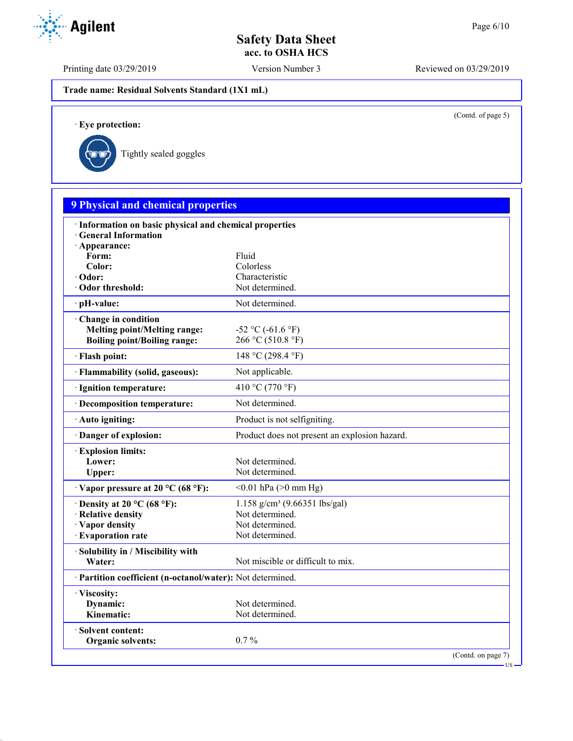Printing date 03/29/2019 Version Number 3 Reviewed on 03/29/2019

**Trade name: Residual Solvents Standard (1X1 mL)**

(Contd. of page 5)

US

· **Eye protection:**



| <b>9 Physical and chemical properties</b>                                                         |                                                                                                      |  |
|---------------------------------------------------------------------------------------------------|------------------------------------------------------------------------------------------------------|--|
| · Information on basic physical and chemical properties<br>· General Information                  |                                                                                                      |  |
| · Appearance:<br>Form:<br>Color:<br>· Odor:<br>Odor threshold:                                    | Fluid<br>Colorless<br>Characteristic<br>Not determined.                                              |  |
| · pH-value:                                                                                       | Not determined.                                                                                      |  |
| Change in condition<br><b>Melting point/Melting range:</b><br><b>Boiling point/Boiling range:</b> | $-52$ °C ( $-61.6$ °F)<br>266 °C (510.8 °F)                                                          |  |
| · Flash point:                                                                                    | 148 °C (298.4 °F)                                                                                    |  |
| · Flammability (solid, gaseous):                                                                  | Not applicable.                                                                                      |  |
| · Ignition temperature:                                                                           | 410 °C (770 °F)                                                                                      |  |
| · Decomposition temperature:                                                                      | Not determined.                                                                                      |  |
| · Auto igniting:                                                                                  | Product is not selfigniting.                                                                         |  |
| Danger of explosion:                                                                              | Product does not present an explosion hazard.                                                        |  |
| <b>Explosion limits:</b><br>Lower:<br>Upper:                                                      | Not determined.<br>Not determined.                                                                   |  |
| $\cdot$ Vapor pressure at 20 °C (68 °F):                                                          | $< 0.01$ hPa ( $> 0$ mm Hg)                                                                          |  |
| $\cdot$ Density at 20 °C (68 °F):<br>· Relative density<br>· Vapor density<br>· Evaporation rate  | $1.158$ g/cm <sup>3</sup> (9.66351 lbs/gal)<br>Not determined.<br>Not determined.<br>Not determined. |  |
| · Solubility in / Miscibility with<br>Water:                                                      | Not miscible or difficult to mix.                                                                    |  |
| · Partition coefficient (n-octanol/water): Not determined.                                        |                                                                                                      |  |
| · Viscosity:<br>Dynamic:<br>Kinematic:                                                            | Not determined.<br>Not determined.                                                                   |  |
| · Solvent content:<br><b>Organic solvents:</b>                                                    | $0.7\%$                                                                                              |  |

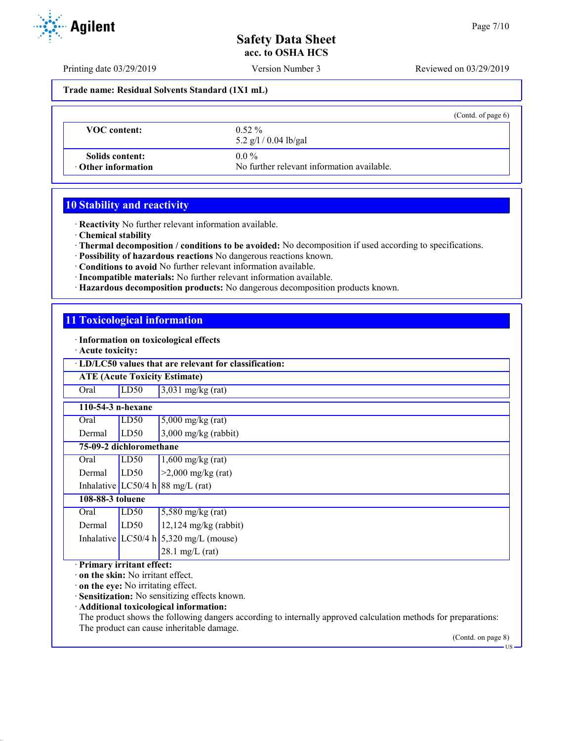Printing date 03/29/2019 Version Number 3 Reviewed on 03/29/2019

**Trade name: Residual Solvents Standard (1X1 mL)**

|                                              | (Contd. of page $6$ )                                 |
|----------------------------------------------|-------------------------------------------------------|
| <b>VOC</b> content:                          | $0.52\%$<br>5.2 $g/l / 0.04$ lb/gal                   |
| Solids content:<br>$\cdot$ Other information | $0.0\%$<br>No further relevant information available. |

# **10 Stability and reactivity**

· **Reactivity** No further relevant information available.

- · **Chemical stability**
- · **Thermal decomposition / conditions to be avoided:** No decomposition if used according to specifications.
- · **Possibility of hazardous reactions** No dangerous reactions known.
- · **Conditions to avoid** No further relevant information available.
- · **Incompatible materials:** No further relevant information available.
- · **Hazardous decomposition products:** No dangerous decomposition products known.

# **11 Toxicological information**

#### · **Information on toxicological effects**

· **Acute toxicity:**

| · LD/LC50 values that are relevant for classification:                                                |      |                                                                                                                                                                                                                                                                              |  |
|-------------------------------------------------------------------------------------------------------|------|------------------------------------------------------------------------------------------------------------------------------------------------------------------------------------------------------------------------------------------------------------------------------|--|
| <b>ATE (Acute Toxicity Estimate)</b>                                                                  |      |                                                                                                                                                                                                                                                                              |  |
| Oral                                                                                                  | LD50 | $3,031$ mg/kg (rat)                                                                                                                                                                                                                                                          |  |
| 110-54-3 n-hexane                                                                                     |      |                                                                                                                                                                                                                                                                              |  |
| Oral                                                                                                  | LD50 | $5,000$ mg/kg (rat)                                                                                                                                                                                                                                                          |  |
| Dermal                                                                                                | LD50 | $3,000$ mg/kg (rabbit)                                                                                                                                                                                                                                                       |  |
| 75-09-2 dichloromethane                                                                               |      |                                                                                                                                                                                                                                                                              |  |
| Oral                                                                                                  | LD50 | $1,600$ mg/kg (rat)                                                                                                                                                                                                                                                          |  |
| Dermal                                                                                                | LD50 | $>2,000$ mg/kg (rat)                                                                                                                                                                                                                                                         |  |
|                                                                                                       |      | Inhalative LC50/4 h 88 mg/L (rat)                                                                                                                                                                                                                                            |  |
| 108-88-3 toluene                                                                                      |      |                                                                                                                                                                                                                                                                              |  |
| Oral                                                                                                  | LD50 | $5,580$ mg/kg (rat)                                                                                                                                                                                                                                                          |  |
| Dermal                                                                                                | LD50 | $12,124$ mg/kg (rabbit)                                                                                                                                                                                                                                                      |  |
|                                                                                                       |      | Inhalative LC50/4 h $5,320$ mg/L (mouse)                                                                                                                                                                                                                                     |  |
|                                                                                                       |      | $28.1 \text{ mg/L}$ (rat)                                                                                                                                                                                                                                                    |  |
| · Primary irritant effect:<br>on the skin: No irritant effect.<br>· on the eye: No irritating effect. |      | Sensitization: No sensitizing effects known.<br>· Additional toxicological information:<br>The product shows the following dangers according to internally approved calculation methods for preparations:<br>The product can cause inheritable damage.<br>(Contd. on page 8) |  |

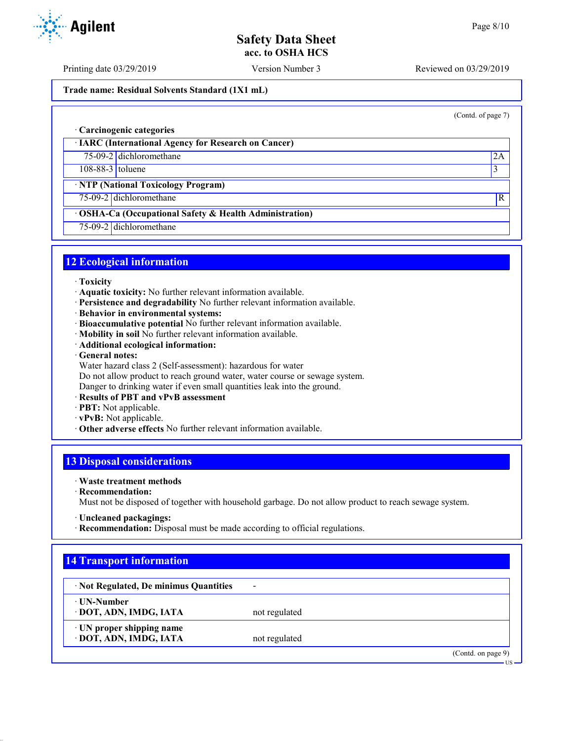Printing date 03/29/2019 Version Number 3 Reviewed on 03/29/2019

### **Trade name: Residual Solvents Standard (1X1 mL)**

(Contd. of page 7)

#### · **Carcinogenic categories**

· **IARC (International Agency for Research on Cancer)**

75-09-2 dichloromethane 2A

108-88-3 toluene 3

## · **NTP (National Toxicology Program)**

75-09-2 dichloromethane R

## · **OSHA-Ca (Occupational Safety & Health Administration)**

75-09-2 dichloromethane

### **12 Ecological information**

- · **Toxicity**
- · **Aquatic toxicity:** No further relevant information available.
- · **Persistence and degradability** No further relevant information available.
- · **Behavior in environmental systems:**
- · **Bioaccumulative potential** No further relevant information available.
- · **Mobility in soil** No further relevant information available.
- · **Additional ecological information:**
- · **General notes:**
- Water hazard class 2 (Self-assessment): hazardous for water
- Do not allow product to reach ground water, water course or sewage system.
- Danger to drinking water if even small quantities leak into the ground.
- · **Results of PBT and vPvB assessment**
- · **PBT:** Not applicable.
- · **vPvB:** Not applicable.
- · **Other adverse effects** No further relevant information available.

# **13 Disposal considerations**

- · **Waste treatment methods**
- · **Recommendation:**

Must not be disposed of together with household garbage. Do not allow product to reach sewage system.

- · **Uncleaned packagings:**
- · **Recommendation:** Disposal must be made according to official regulations.

# **14 Transport information**

| · Not Regulated, De minimus Quantities              | $\overline{\phantom{a}}$ |                    |
|-----------------------------------------------------|--------------------------|--------------------|
| ⋅ UN-Number<br>· DOT, ADN, IMDG, IATA               | not regulated            |                    |
| · UN proper shipping name<br>· DOT, ADN, IMDG, IATA | not regulated            |                    |
|                                                     |                          | (Contd. on page 9) |



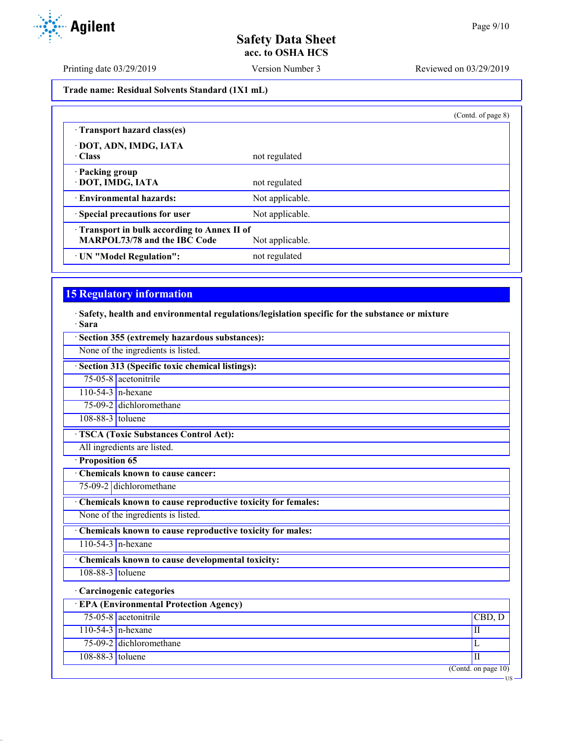Printing date 03/29/2019 Version Number 3 Reviewed on 03/29/2019

**Trade name: Residual Solvents Standard (1X1 mL)**

|                                            |                 | (Contd. of page 8) |
|--------------------------------------------|-----------------|--------------------|
| Transport hazard class(es)                 |                 |                    |
| · DOT, ADN, IMDG, IATA                     |                 |                    |
| $\cdot$ Class                              | not regulated   |                    |
| · Packing group                            |                 |                    |
| · DOT, IMDG, IATA                          | not regulated   |                    |
| · Environmental hazards:                   | Not applicable. |                    |
| · Special precautions for user             | Not applicable. |                    |
| Transport in bulk according to Annex II of |                 |                    |
| <b>MARPOL73/78 and the IBC Code</b>        | Not applicable. |                    |
| · UN "Model Regulation":                   | not regulated   |                    |

# **15 Regulatory information**

· **Safety, health and environmental regulations/legislation specific for the substance or mixture** · **Sara**

| Section 355 (extremely hazardous substances):               |                                    |  |  |
|-------------------------------------------------------------|------------------------------------|--|--|
| None of the ingredients is listed.                          |                                    |  |  |
| · Section 313 (Specific toxic chemical listings):           |                                    |  |  |
| $75-05-8$ acetonitrile                                      |                                    |  |  |
| $110-54-3$ n-hexane                                         |                                    |  |  |
| 75-09-2 dichloromethane                                     |                                    |  |  |
| 108-88-3 toluene                                            |                                    |  |  |
| <b>TSCA (Toxic Substances Control Act):</b>                 |                                    |  |  |
| All ingredients are listed.                                 |                                    |  |  |
| · Proposition 65                                            |                                    |  |  |
| <b>Chemicals known to cause cancer:</b>                     |                                    |  |  |
| 75-09-2 dichloromethane                                     |                                    |  |  |
| Chemicals known to cause reproductive toxicity for females: |                                    |  |  |
| None of the ingredients is listed.                          |                                    |  |  |
| Chemicals known to cause reproductive toxicity for males:   |                                    |  |  |
| $110-54-3$ n-hexane                                         |                                    |  |  |
| Chemicals known to cause developmental toxicity:            |                                    |  |  |
| $108-88-3$ toluene                                          |                                    |  |  |
| · Carcinogenic categories                                   |                                    |  |  |
| <b>EPA (Environmental Protection Agency)</b>                |                                    |  |  |
| 75-05-8 acetonitrile                                        | CBD, D                             |  |  |
| $110-54-3$ n-hexane                                         | $\mathbf{I}$                       |  |  |
| 75-09-2 dichloromethane                                     | L                                  |  |  |
| 108-88-3 toluene                                            | $\mathbf{I}$                       |  |  |
|                                                             | $($ Contd. on page $10)$<br>$US -$ |  |  |
|                                                             |                                    |  |  |